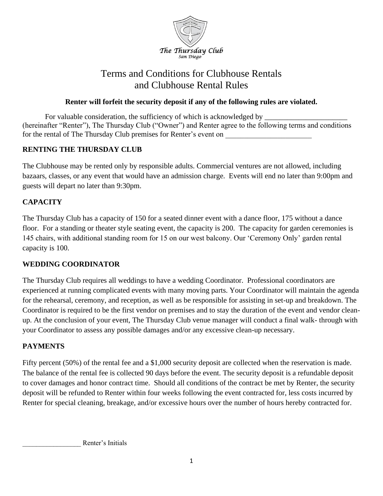

# Terms and Conditions for Clubhouse Rentals and Clubhouse Rental Rules

### **Renter will forfeit the security deposit if any of the following rules are violated.**

For valuable consideration, the sufficiency of which is acknowledged by (hereinafter "Renter"), The Thursday Club ("Owner") and Renter agree to the following terms and conditions for the rental of The Thursday Club premises for Renter's event on

### **RENTING THE THURSDAY CLUB**

The Clubhouse may be rented only by responsible adults. Commercial ventures are not allowed, including bazaars, classes, or any event that would have an admission charge. Events will end no later than 9:00pm and guests will depart no later than 9:30pm.

### **CAPACITY**

The Thursday Club has a capacity of 150 for a seated dinner event with a dance floor, 175 without a dance floor. For a standing or theater style seating event, the capacity is 200. The capacity for garden ceremonies is 145 chairs, with additional standing room for 15 on our west balcony. Our 'Ceremony Only' garden rental capacity is 100.

#### **WEDDING COORDINATOR**

The Thursday Club requires all weddings to have a wedding Coordinator. Professional coordinators are experienced at running complicated events with many moving parts. Your Coordinator will maintain the agenda for the rehearsal, ceremony, and reception, as well as be responsible for assisting in set-up and breakdown. The Coordinator is required to be the first vendor on premises and to stay the duration of the event and vendor cleanup. At the conclusion of your event, The Thursday Club venue manager will conduct a final walk- through with your Coordinator to assess any possible damages and/or any excessive clean-up necessary.

### **PAYMENTS**

Fifty percent (50%) of the rental fee and a \$1,000 security deposit are collected when the reservation is made. The balance of the rental fee is collected 90 days before the event. The security deposit is a refundable deposit to cover damages and honor contract time. Should all conditions of the contract be met by Renter, the security deposit will be refunded to Renter within four weeks following the event contracted for, less costs incurred by Renter for special cleaning, breakage, and/or excessive hours over the number of hours hereby contracted for.

\_\_\_\_\_\_\_\_\_\_\_\_\_\_\_\_\_ Renter's Initials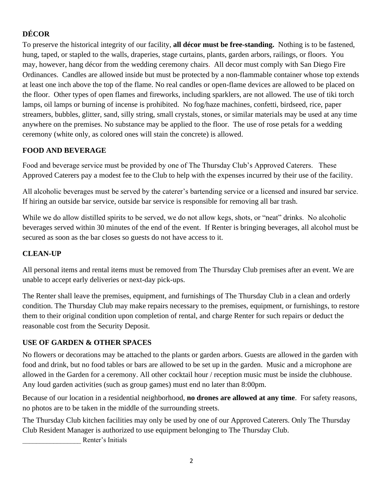## **DÉCOR**

To preserve the historical integrity of our facility, **all décor must be free-standing.** Nothing is to be fastened, hung, taped, or stapled to the walls, draperies, stage curtains, plants, garden arbors, railings, or floors. You may, however, hang décor from the wedding ceremony chairs. All decor must comply with San Diego Fire Ordinances. Candles are allowed inside but must be protected by a non-flammable container whose top extends at least one inch above the top of the flame. No real candles or open-flame devices are allowed to be placed on the floor. Other types of open flames and fireworks, including sparklers, are not allowed. The use of tiki torch lamps, oil lamps or burning of incense is prohibited. No fog/haze machines, confetti, birdseed, rice, paper streamers, bubbles, glitter, sand, silly string, small crystals, stones, or similar materials may be used at any time anywhere on the premises. No substance may be applied to the floor. The use of rose petals for a wedding ceremony (white only, as colored ones will stain the concrete) is allowed.

### **FOOD AND BEVERAGE**

Food and beverage service must be provided by one of The Thursday Club's Approved Caterers. These Approved Caterers pay a modest fee to the Club to help with the expenses incurred by their use of the facility.

All alcoholic beverages must be served by the caterer's bartending service or a licensed and insured bar service. If hiring an outside bar service, outside bar service is responsible for removing all bar trash.

While we do allow distilled spirits to be served, we do not allow kegs, shots, or "neat" drinks. No alcoholic beverages served within 30 minutes of the end of the event. If Renter is bringing beverages, all alcohol must be secured as soon as the bar closes so guests do not have access to it.

### **CLEAN-UP**

All personal items and rental items must be removed from The Thursday Club premises after an event. We are unable to accept early deliveries or next-day pick-ups.

The Renter shall leave the premises, equipment, and furnishings of The Thursday Club in a clean and orderly condition. The Thursday Club may make repairs necessary to the premises, equipment, or furnishings, to restore them to their original condition upon completion of rental, and charge Renter for such repairs or deduct the reasonable cost from the Security Deposit.

### **USE OF GARDEN & OTHER SPACES**

No flowers or decorations may be attached to the plants or garden arbors. Guests are allowed in the garden with food and drink, but no food tables or bars are allowed to be set up in the garden. Music and a microphone are allowed in the Garden for a ceremony. All other cocktail hour / reception music must be inside the clubhouse. Any loud garden activities (such as group games) must end no later than 8:00pm.

Because of our location in a residential neighborhood, **no drones are allowed at any time**. For safety reasons, no photos are to be taken in the middle of the surrounding streets.

The Thursday Club kitchen facilities may only be used by one of our Approved Caterers. Only The Thursday Club Resident Manager is authorized to use equipment belonging to The Thursday Club.

\_\_\_\_\_\_\_\_\_\_\_\_\_\_\_\_\_ Renter's Initials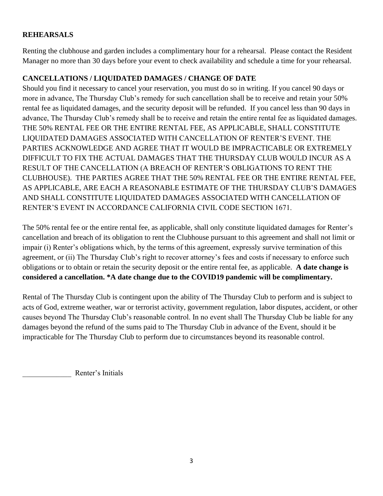### **REHEARSALS**

Renting the clubhouse and garden includes a complimentary hour for a rehearsal. Please contact the Resident Manager no more than 30 days before your event to check availability and schedule a time for your rehearsal.

### **CANCELLATIONS / LIQUIDATED DAMAGES / CHANGE OF DATE**

Should you find it necessary to cancel your reservation, you must do so in writing. If you cancel 90 days or more in advance, The Thursday Club's remedy for such cancellation shall be to receive and retain your 50% rental fee as liquidated damages, and the security deposit will be refunded. If you cancel less than 90 days in advance, The Thursday Club's remedy shall be to receive and retain the entire rental fee as liquidated damages. THE 50% RENTAL FEE OR THE ENTIRE RENTAL FEE, AS APPLICABLE, SHALL CONSTITUTE LIQUIDATED DAMAGES ASSOCIATED WITH CANCELLATION OF RENTER'S EVENT. THE PARTIES ACKNOWLEDGE AND AGREE THAT IT WOULD BE IMPRACTICABLE OR EXTREMELY DIFFICULT TO FIX THE ACTUAL DAMAGES THAT THE THURSDAY CLUB WOULD INCUR AS A RESULT OF THE CANCELLATION (A BREACH OF RENTER'S OBLIGATIONS TO RENT THE CLUBHOUSE). THE PARTIES AGREE THAT THE 50% RENTAL FEE OR THE ENTIRE RENTAL FEE, AS APPLICABLE, ARE EACH A REASONABLE ESTIMATE OF THE THURSDAY CLUB'S DAMAGES AND SHALL CONSTITUTE LIQUIDATED DAMAGES ASSOCIATED WITH CANCELLATION OF RENTER'S EVENT IN ACCORDANCE CALIFORNIA CIVIL CODE SECTION 1671.

The 50% rental fee or the entire rental fee, as applicable, shall only constitute liquidated damages for Renter's cancellation and breach of its obligation to rent the Clubhouse pursuant to this agreement and shall not limit or impair (i) Renter's obligations which, by the terms of this agreement, expressly survive termination of this agreement, or (ii) The Thursday Club's right to recover attorney's fees and costs if necessary to enforce such obligations or to obtain or retain the security deposit or the entire rental fee, as applicable. **A date change is considered a cancellation. \*A date change due to the COVID19 pandemic will be complimentary.**

Rental of The Thursday Club is contingent upon the ability of The Thursday Club to perform and is subject to acts of God, extreme weather, war or terrorist activity, government regulation, labor disputes, accident, or other causes beyond The Thursday Club's reasonable control. In no event shall The Thursday Club be liable for any damages beyond the refund of the sums paid to The Thursday Club in advance of the Event, should it be impracticable for The Thursday Club to perform due to circumstances beyond its reasonable control.

\_\_\_\_\_\_\_\_\_\_\_\_\_ Renter's Initials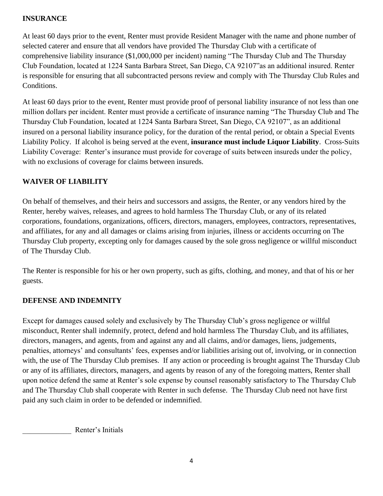### **INSURANCE**

At least 60 days prior to the event, Renter must provide Resident Manager with the name and phone number of selected caterer and ensure that all vendors have provided The Thursday Club with a certificate of comprehensive liability insurance (\$1,000,000 per incident) naming "The Thursday Club and The Thursday Club Foundation, located at 1224 Santa Barbara Street, San Diego, CA 92107"as an additional insured. Renter is responsible for ensuring that all subcontracted persons review and comply with The Thursday Club Rules and Conditions.

At least 60 days prior to the event, Renter must provide proof of personal liability insurance of not less than one million dollars per incident. Renter must provide a certificate of insurance naming "The Thursday Club and The Thursday Club Foundation, located at 1224 Santa Barbara Street, San Diego, CA 92107", as an additional insured on a personal liability insurance policy, for the duration of the rental period, or obtain a Special Events Liability Policy. If alcohol is being served at the event, **insurance must include Liquor Liability**. Cross-Suits Liability Coverage: Renter's insurance must provide for coverage of suits between insureds under the policy, with no exclusions of coverage for claims between insureds.

### **WAIVER OF LIABILITY**

On behalf of themselves, and their heirs and successors and assigns, the Renter, or any vendors hired by the Renter, hereby waives, releases, and agrees to hold harmless The Thursday Club, or any of its related corporations, foundations, organizations, officers, directors, managers, employees, contractors, representatives, and affiliates, for any and all damages or claims arising from injuries, illness or accidents occurring on The Thursday Club property, excepting only for damages caused by the sole gross negligence or willful misconduct of The Thursday Club.

The Renter is responsible for his or her own property, such as gifts, clothing, and money, and that of his or her guests.

#### **DEFENSE AND INDEMNITY**

Except for damages caused solely and exclusively by The Thursday Club's gross negligence or willful misconduct, Renter shall indemnify, protect, defend and hold harmless The Thursday Club, and its affiliates, directors, managers, and agents, from and against any and all claims, and/or damages, liens, judgements, penalties, attorneys' and consultants' fees, expenses and/or liabilities arising out of, involving, or in connection with, the use of The Thursday Club premises. If any action or proceeding is brought against The Thursday Club or any of its affiliates, directors, managers, and agents by reason of any of the foregoing matters, Renter shall upon notice defend the same at Renter's sole expense by counsel reasonably satisfactory to The Thursday Club and The Thursday Club shall cooperate with Renter in such defense. The Thursday Club need not have first paid any such claim in order to be defended or indemnified.

Renter's Initials